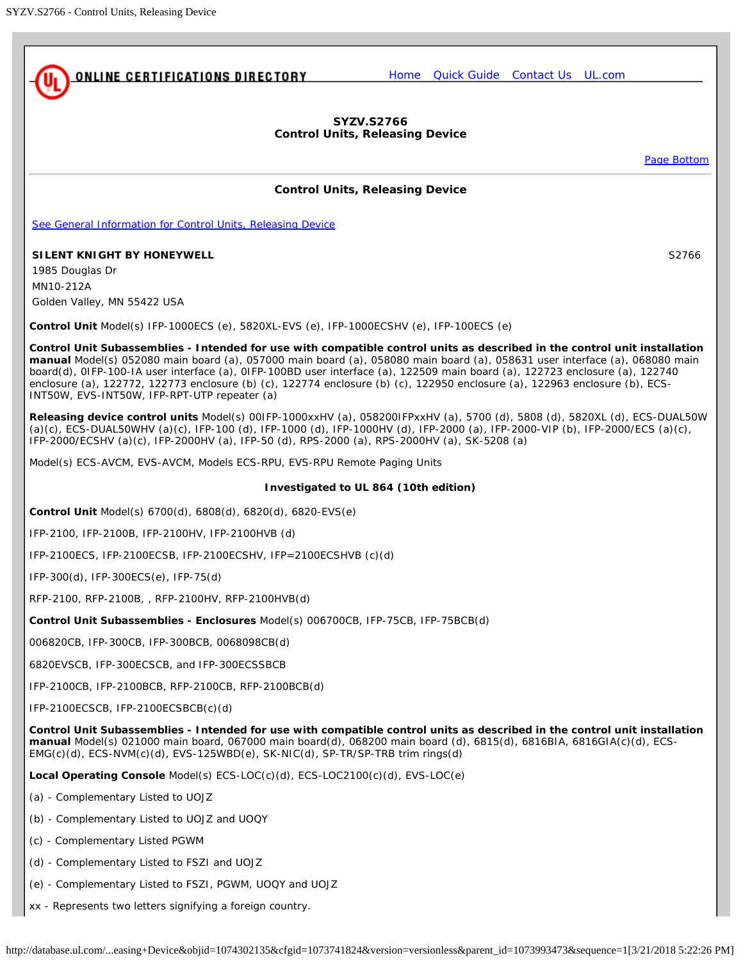<span id="page-0-0"></span>

[Page Bottom](#page-1-0)

http://database.ul.com/...easing+Device&objid=1074302135&cfgid=1073741824&version=versionless&parent\_id=1073993473&sequence=1[3/21/2018 5:22:26 PM]